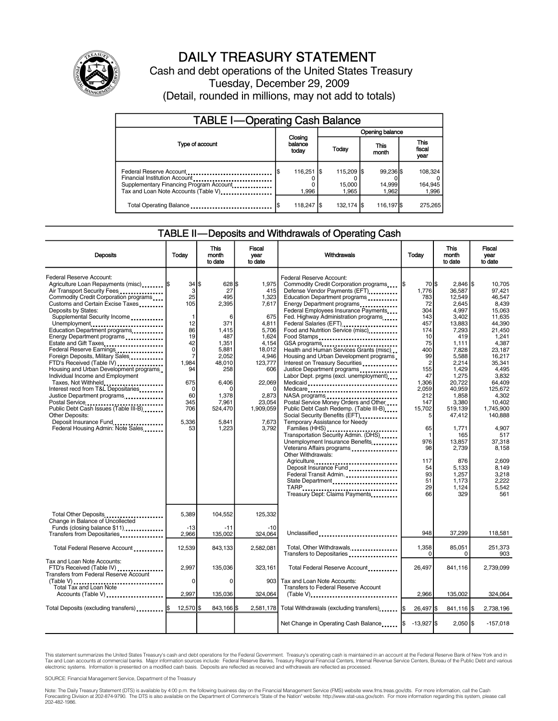

### DAILY TREASURY STATEMENT

Cash and debt operations of the United States Treasury Tuesday, December 29, 2009 (Detail, rounded in millions, may not add to totals)

| <b>TABLE I-Operating Cash Balance</b>                                                                                                       |  |                             |  |                               |  |                              |  |                               |
|---------------------------------------------------------------------------------------------------------------------------------------------|--|-----------------------------|--|-------------------------------|--|------------------------------|--|-------------------------------|
|                                                                                                                                             |  |                             |  | Opening balance               |  |                              |  |                               |
| Type of account                                                                                                                             |  | Closing<br>balance<br>today |  | Today                         |  | <b>This</b><br>month         |  | <b>This</b><br>fiscal<br>year |
| Federal Reserve Account<br>Financial Institution Account<br>Supplementary Financing Program Account<br>Tax and Loan Note Accounts (Table V) |  | 116.251 S<br>1.996          |  | 115,209 \$<br>15,000<br>1.965 |  | 99.236 \$<br>14,999<br>1.962 |  | 108.324<br>164,945<br>1,996   |
| Total Operating Balance                                                                                                                     |  | 118,247 \$                  |  | 132,174 \$                    |  | 116,197 \$                   |  | 275.265                       |

### TABLE II—Deposits and Withdrawals of Operating Cash

| <b>Deposits</b>                                                                                                                                                                                                                                                                                                                                                                                                                                                                                                                                                                                                                                                                                                                                                            | Today                                                                                                                                                       | <b>This</b><br>month<br>to date                                                                                                                                                | Fiscal<br>vear<br>to date                                                                                                                                                  | Withdrawals                                                                                                                                                                                                                                                                                                                                                                                                                                                                                                                                                                                                                                                                                                                                                                                                                                                                                                                                                                                                  | Today                                                                                                                                                                                                                                | <b>This</b><br>month<br>to date                                                                                                                                                                                                                                                          | <b>Fiscal</b><br>year<br>to date                                                                                                                                                                                                                                                                     |
|----------------------------------------------------------------------------------------------------------------------------------------------------------------------------------------------------------------------------------------------------------------------------------------------------------------------------------------------------------------------------------------------------------------------------------------------------------------------------------------------------------------------------------------------------------------------------------------------------------------------------------------------------------------------------------------------------------------------------------------------------------------------------|-------------------------------------------------------------------------------------------------------------------------------------------------------------|--------------------------------------------------------------------------------------------------------------------------------------------------------------------------------|----------------------------------------------------------------------------------------------------------------------------------------------------------------------------|--------------------------------------------------------------------------------------------------------------------------------------------------------------------------------------------------------------------------------------------------------------------------------------------------------------------------------------------------------------------------------------------------------------------------------------------------------------------------------------------------------------------------------------------------------------------------------------------------------------------------------------------------------------------------------------------------------------------------------------------------------------------------------------------------------------------------------------------------------------------------------------------------------------------------------------------------------------------------------------------------------------|--------------------------------------------------------------------------------------------------------------------------------------------------------------------------------------------------------------------------------------|------------------------------------------------------------------------------------------------------------------------------------------------------------------------------------------------------------------------------------------------------------------------------------------|------------------------------------------------------------------------------------------------------------------------------------------------------------------------------------------------------------------------------------------------------------------------------------------------------|
| Federal Reserve Account:<br>Agriculture Loan Repayments (misc)  \$<br>Air Transport Security Fees<br>Commodity Credit Corporation programs<br>Customs and Certain Excise Taxes<br>Deposits by States:<br>Supplemental Security Income<br>Unemployment<br>Education Department programs<br>Energy Department programs<br>Estate and Gift Taxes<br>Federal Reserve Earnings<br>Foreign Deposits, Military Sales<br>FTD's Received (Table IV)<br>Housing and Urban Development programs.<br>Individual Income and Employment<br>Taxes, Not Withheld<br>Interest recd from T&L Depositaries<br>Justice Department programs<br>Postal Service<br>Public Debt Cash Issues (Table III-B)<br><b>Other Deposits:</b><br>Deposit Insurance Fund<br>Federal Housing Admin: Note Sales | 34 IS<br>3<br>25<br>105<br>-1<br>12<br>86<br>19<br>42<br>$\mathbf 0$<br>$\overline{7}$<br>1.984<br>94<br>675<br>$\Omega$<br>60<br>345<br>706<br>5.336<br>53 | $628$ $\frac{1}{3}$<br>27<br>495<br>2,395<br>6<br>371<br>1.415<br>487<br>1,351<br>5,881<br>2.052<br>48.010<br>258<br>6.406<br>C<br>1,378<br>7,961<br>524,470<br>5.841<br>1,223 | 1.975<br>415<br>1,323<br>7,617<br>675<br>4.811<br>5.706<br>1.624<br>4,154<br>18,012<br>4.946<br>123,777<br>606<br>22.069<br>2,873<br>23,054<br>1,909,059<br>7.673<br>3.792 | Federal Reserve Account:<br>Commodity Credit Corporation programs<br>Defense Vendor Payments (EFT)<br>Education Department programs<br>Energy Department programs<br><br>Federal Employees Insurance Payments<br>Fed. Highway Administration programs<br>Federal Salaries (EFT)<br>Food and Nutrition Service (misc)<br>Food Stamps<br>GSA programs<br>Health and Human Services Grants (misc)<br>Housing and Urban Development programs<br>Interest on Treasury Securities<br>Justice Department programs<br>Labor Dept. prgms (excl. unemployment)<br>Medicaid<br>Medicare<br>Postal Service Money Orders and Other<br>Public Debt Cash Redemp. (Table III-B)<br>Social Security Benefits (EFT)<br>Temporary Assistance for Needy<br>Families (HHS)<br>Transportation Security Admin. (DHS)<br>Unemployment Insurance Benefits<br>Veterans Affairs programs<br>Other Withdrawals:<br>Agriculture<br>Deposit Insurance Fund<br>Federal Transit Admin.<br>State Department<br>Treasury Dept: Claims Payments | 70 S<br>1.776<br>783<br>72<br>304<br>143<br>457<br>174<br>10<br>75<br>400<br>99<br>$\overline{2}$<br>155<br>47<br>1.306<br>2,059<br>212<br>147<br>15,702<br>5<br>65<br>$\mathbf 1$<br>976<br>98<br>117<br>54<br>93<br>51<br>29<br>66 | $2.846$ S<br>36.587<br>12,549<br>2,645<br>4.997<br>3.402<br>13.883<br>7,293<br>419<br>1,111<br>7,828<br>5,588<br>2,214<br>1.429<br>1,275<br>20.722<br>40.959<br>1,858<br>3,380<br>519,139<br>47,412<br>1.771<br>165<br>13.857<br>2,739<br>876<br>5,133<br>1,257<br>1,173<br>1.124<br>329 | 10.705<br>97.421<br>46,547<br>8,439<br>15.063<br>11.635<br>44.390<br>21.450<br>1.241<br>4,387<br>23.187<br>16.217<br>35.341<br>4.495<br>3.832<br>64.409<br>125.672<br>4,302<br>10.402<br>1.745.900<br>140,888<br>4,907<br>517<br>37.318<br>8,158<br>2,609<br>8.149<br>3.218<br>2.222<br>5.542<br>561 |
| Total Other Deposits<br>Change in Balance of Uncollected<br>Funds (closing balance \$11)<br>Transfers from Depositaries                                                                                                                                                                                                                                                                                                                                                                                                                                                                                                                                                                                                                                                    | 5,389<br>$-13$<br>2.966                                                                                                                                     | 104,552<br>-11<br>135,002                                                                                                                                                      | 125,332<br>$-10$<br>324.064                                                                                                                                                | Unclassified                                                                                                                                                                                                                                                                                                                                                                                                                                                                                                                                                                                                                                                                                                                                                                                                                                                                                                                                                                                                 | 948                                                                                                                                                                                                                                  | 37,299                                                                                                                                                                                                                                                                                   | 118,581                                                                                                                                                                                                                                                                                              |
| Total Federal Reserve Account                                                                                                                                                                                                                                                                                                                                                                                                                                                                                                                                                                                                                                                                                                                                              | 12,539                                                                                                                                                      | 843.133                                                                                                                                                                        | 2.582.081                                                                                                                                                                  | Total, Other Withdrawals<br>Transfers to Depositaries                                                                                                                                                                                                                                                                                                                                                                                                                                                                                                                                                                                                                                                                                                                                                                                                                                                                                                                                                        | 1.358<br>$\Omega$                                                                                                                                                                                                                    | 85,051<br>$\overline{0}$                                                                                                                                                                                                                                                                 | 251.373<br>903                                                                                                                                                                                                                                                                                       |
| Tax and Loan Note Accounts:<br>FTD's Received (Table IV)<br>Transfers from Federal Reserve Account<br>(Table V)<br><br>Total Tax and Loan Note<br>Accounts (Table V)                                                                                                                                                                                                                                                                                                                                                                                                                                                                                                                                                                                                       | 2,997<br>0<br>2.997                                                                                                                                         | 135,036<br>$\mathbf 0$<br>135,036                                                                                                                                              | 323,161<br>903 <sub>l</sub><br>324.064                                                                                                                                     | Total Federal Reserve Account.<br>Tax and Loan Note Accounts:<br><b>Transfers to Federal Reserve Account</b><br>$(Table V)$                                                                                                                                                                                                                                                                                                                                                                                                                                                                                                                                                                                                                                                                                                                                                                                                                                                                                  | 26,497<br>2.966                                                                                                                                                                                                                      | 841,116<br>135.002                                                                                                                                                                                                                                                                       | 2,739,099<br>324,064                                                                                                                                                                                                                                                                                 |
| Total Deposits (excluding transfers)   \$                                                                                                                                                                                                                                                                                                                                                                                                                                                                                                                                                                                                                                                                                                                                  | 12,570 \$                                                                                                                                                   | 843.166 \$                                                                                                                                                                     |                                                                                                                                                                            | 2,581,178 Total Withdrawals (excluding transfers) [\$                                                                                                                                                                                                                                                                                                                                                                                                                                                                                                                                                                                                                                                                                                                                                                                                                                                                                                                                                        | 26,497 \$                                                                                                                                                                                                                            | 841.116 S                                                                                                                                                                                                                                                                                | 2.738.196                                                                                                                                                                                                                                                                                            |
|                                                                                                                                                                                                                                                                                                                                                                                                                                                                                                                                                                                                                                                                                                                                                                            |                                                                                                                                                             |                                                                                                                                                                                |                                                                                                                                                                            | Net Change in Operating Cash Balance  \$                                                                                                                                                                                                                                                                                                                                                                                                                                                                                                                                                                                                                                                                                                                                                                                                                                                                                                                                                                     | $-13,927$ \$                                                                                                                                                                                                                         | $2,050$ \$                                                                                                                                                                                                                                                                               | $-157,018$                                                                                                                                                                                                                                                                                           |

This statement summarizes the United States Treasury's cash and debt operations for the Federal Government. Treasury's operating cash is maintained in an account at the Federal Reserve Bank of New York and in<br>Tax and Loan

SOURCE: Financial Management Service, Department of the Treasury

Note: The Daily Treasury Statement (DTS) is available by 4:00 p.m. the following business day on the Financial Management Service (FMS) website www.fms.treas.gov/dts. For more information, call the Cash Forecasting Division at 202-874-9790. The DTS is also available on the Department of Commerce's "State of the Nation" website: http://www.stat-usa.gov/sotn. For more information regarding this system, please call<br>202-482-1